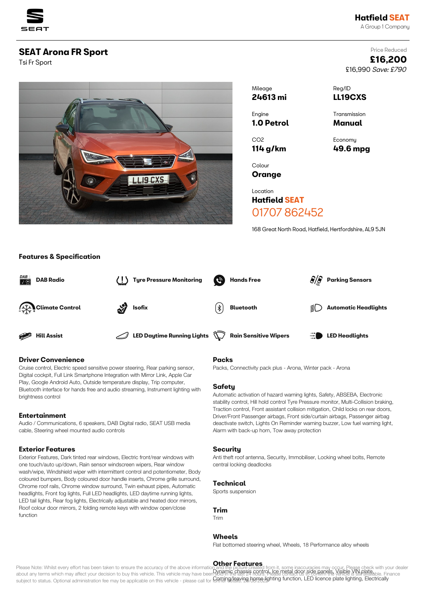

£16,990 Save: £790

Price Reduced **£16,200**

# **SEAT Arona FR Sport**

Tsi Fr Sport



| Mileage           | Reg/ID         |
|-------------------|----------------|
| 24613 mi          | <b>LL19CXS</b> |
| Engine            | Transmission   |
| <b>1.0 Petrol</b> | Manual         |
| CO <sub>2</sub>   | Economy        |
| $114$ g/km        | 49.6 mpg       |
| Colour<br>Oranae  |                |

Location **Hatfield SEAT** 01707 862452

168 Great North Road, Hatfield, Hertfordshire, AL9 5JN

## **Features & Specification**



## **Driver Convenience**

Cruise control, Electric speed sensitive power steering, Rear parking sensor, Digital cockpit, Full Link Smartphone Integration with Mirror Link, Apple Car Play, Google Android Auto, Outside temperature display, Trip computer, Bluetooth interface for hands free and audio streaming, Instrument lighting with brightness control

### **Entertainment**

Audio / Communications, 6 speakers, DAB Digital radio, SEAT USB media cable, Steering wheel mounted audio controls

### **Exterior Features**

Exterior Features, Dark tinted rear windows, Electric front/rear windows with one touch/auto up/down, Rain sensor windscreen wipers, Rear window wash/wipe, Windshield wiper with intermittent control and potentiometer, Body coloured bumpers, Body coloured door handle inserts, Chrome grille surround, Chrome roof rails, Chrome window surround, Twin exhaust pipes, Automatic headlights, Front fog lights, Full LED headlights, LED daytime running lights, LED tail lights, Rear fog lights, Electrically adjustable and heated door mirrors, Roof colour door mirrors, 2 folding remote keys with window open/close function

### **Packs**

Packs, Connectivity pack plus - Arona, Winter pack - Arona

## **Safety**

Automatic activation of hazard warning lights, Safety, ABSEBA, Electronic stability control, Hill hold control Tyre Pressure monitor, Multi-Collision braking, Traction control, Front assistant collision mitigation, Child locks on rear doors, Driver/Front Passenger airbags, Front side/curtain airbags, Passenger airbag deactivate switch, Lights On Reminder warning buzzer, Low fuel warning light, Alarm with back-up horn, Tow away protection

#### **Security**

Anti theft roof antenna, Security, Immobiliser, Locking wheel bolts, Remote central locking deadlocks

### **Technical**

Sports suspension

#### **Trim**

Trim

#### **Wheels**

Flat bottomed steering wheel, Wheels, 18 Performance alloy wheels

#### **Other Features**

Please Note: Whilst every effort has been taken to ensure the accuracy of the above information and the picture created from it, some inaccuracies may occur. Please check with your dealer about any terms which may affect your decision to buy this vehicle. This vehicle may have been SUPING Chasses GONICH LGS UBFRLGOO BIGE RAINER VISIDE NAIDRAFIAble. Finance subject to status. Optional administration fee may be applicable on this vehicle - please call for **GAPLIP Q/8RV. Details. Apgro-Jighting function, LED licence plate lighting, Electrically**